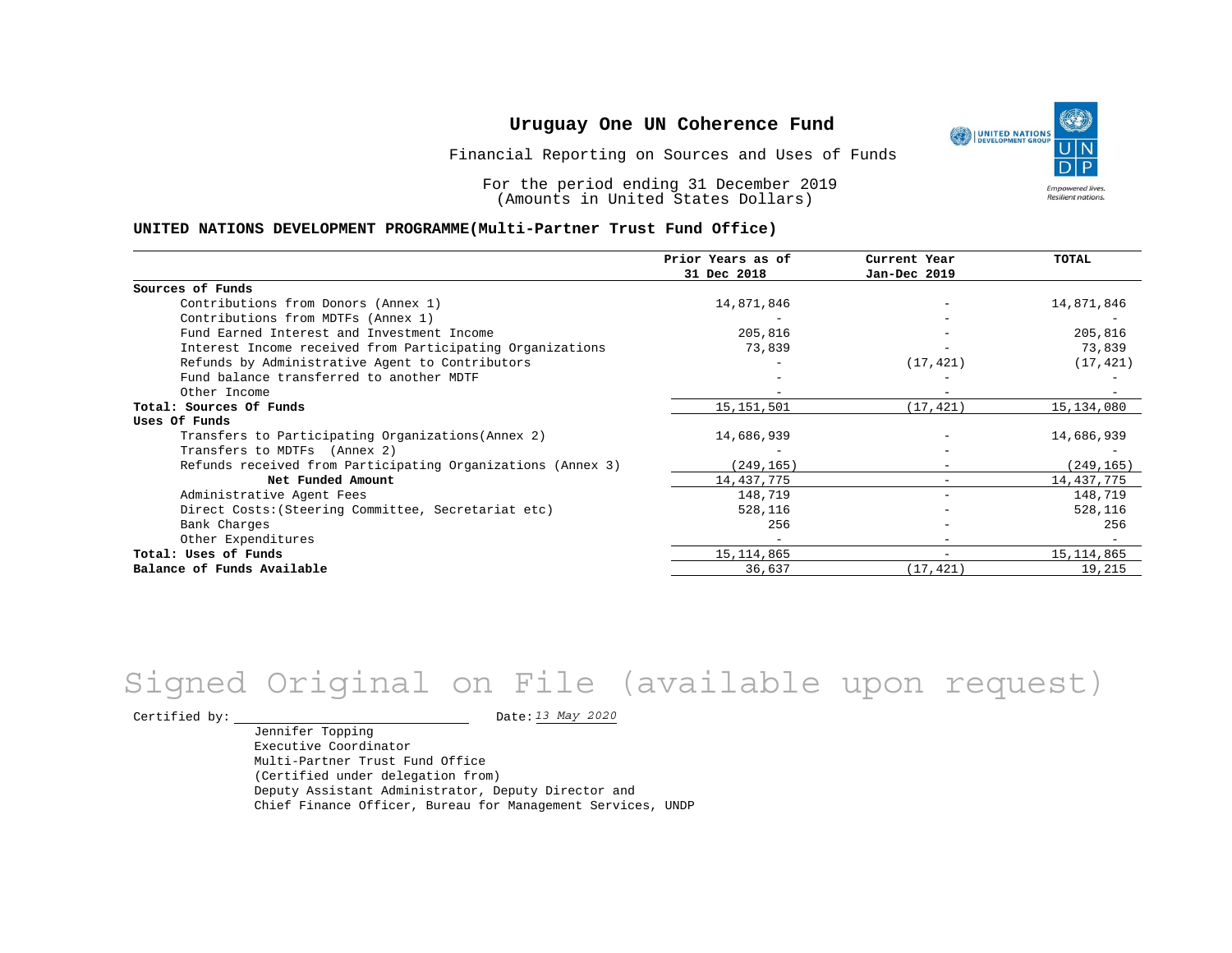Financial Reporting on Sources and Uses of Funds

For the period ending 31 December 2019 (Amounts in United States Dollars)

#### **UNITED NATIONS DEVELOPMENT PROGRAMME(Multi-Partner Trust Fund Office)**

|                                                             | Prior Years as of<br>31 Dec 2018 | Current Year<br>Jan-Dec 2019 | <b>TOTAL</b> |
|-------------------------------------------------------------|----------------------------------|------------------------------|--------------|
|                                                             |                                  |                              |              |
| Sources of Funds                                            |                                  |                              |              |
| Contributions from Donors (Annex 1)                         | 14,871,846                       |                              | 14,871,846   |
| Contributions from MDTFs (Annex 1)                          |                                  |                              |              |
| Fund Earned Interest and Investment Income                  | 205,816                          |                              | 205,816      |
| Interest Income received from Participating Organizations   | 73,839                           |                              | 73,839       |
| Refunds by Administrative Agent to Contributors             |                                  | (17, 421)                    | (17, 421)    |
| Fund balance transferred to another MDTF                    |                                  |                              |              |
| Other Income                                                |                                  |                              |              |
| Total: Sources Of Funds                                     | 15, 151, 501                     | (17, 421)                    | 15,134,080   |
| Uses Of Funds                                               |                                  |                              |              |
| Transfers to Participating Organizations (Annex 2)          | 14,686,939                       |                              | 14,686,939   |
| Transfers to MDTFs (Annex 2)                                |                                  |                              |              |
| Refunds received from Participating Organizations (Annex 3) | (249, 165)                       |                              | (249, 165)   |
| Net Funded Amount                                           | 14,437,775                       |                              | 14,437,775   |
| Administrative Agent Fees                                   | 148,719                          | $\overline{\phantom{0}}$     | 148,719      |
| Direct Costs: (Steering Committee, Secretariat etc)         | 528,116                          |                              | 528,116      |
| Bank Charges                                                | 256                              |                              | 256          |
| Other Expenditures                                          |                                  | $\qquad \qquad$              |              |
| Total: Uses of Funds                                        | 15, 114, 865                     | $\overline{\phantom{m}}$     | 15, 114, 865 |
| Balance of Funds Available                                  | 36,637                           | (17, 421)                    | 19,215       |

# *13 May 2020* Signed Original on File (available upon request)

Certified by:  $\frac{13 May 2020}{1200}$ 

Jennifer Topping Executive Coordinator Multi-Partner Trust Fund Office (Certified under delegation from) Deputy Assistant Administrator, Deputy Director and Chief Finance Officer, Bureau for Management Services, UNDP

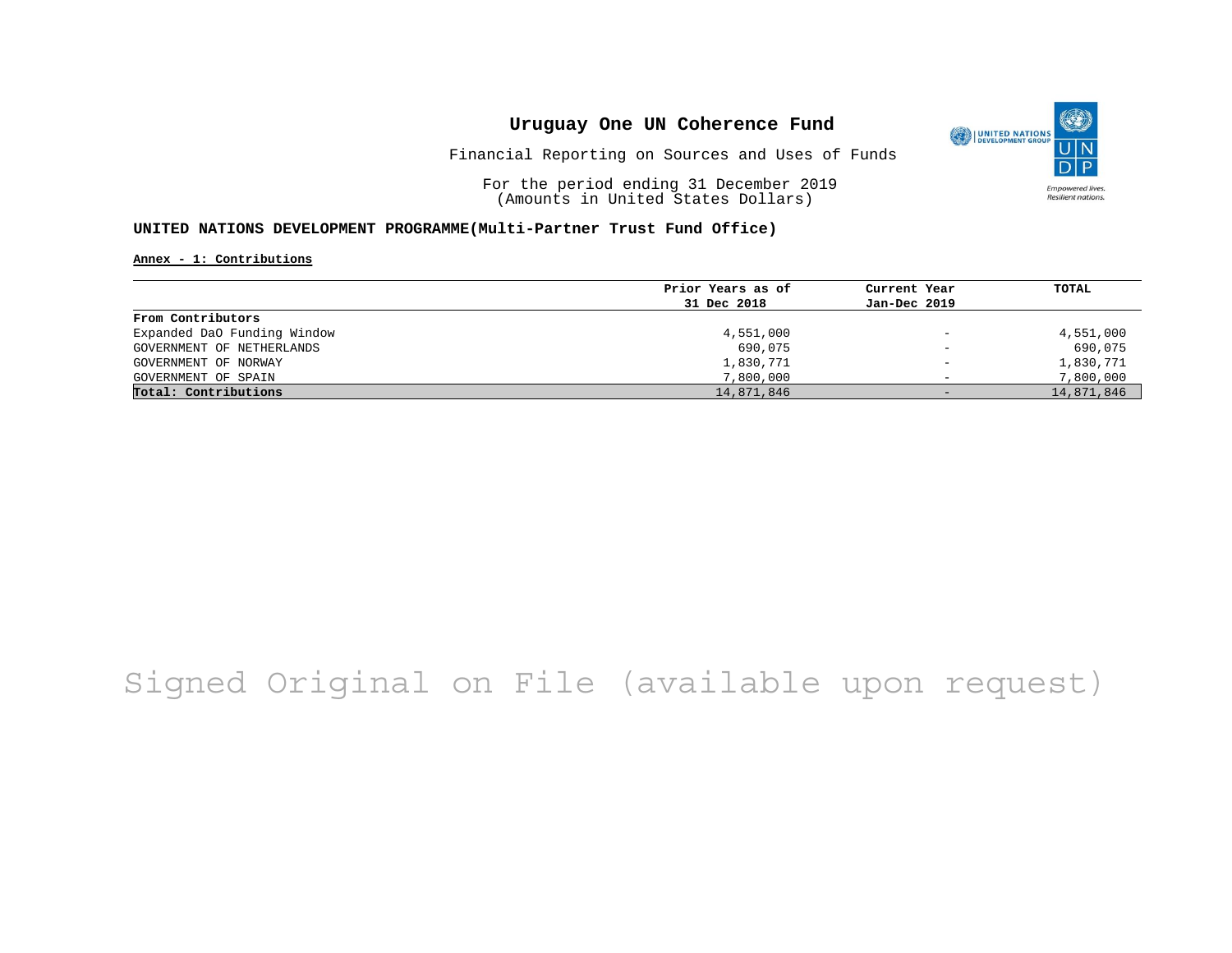

Financial Reporting on Sources and Uses of Funds

For the period ending 31 December 2019 (Amounts in United States Dollars)

### **UNITED NATIONS DEVELOPMENT PROGRAMME(Multi-Partner Trust Fund Office)**

**Annex - 1: Contributions**

|                             | Prior Years as of | Current Year             | TOTAL      |
|-----------------------------|-------------------|--------------------------|------------|
|                             | 31 Dec 2018       | Jan-Dec 2019             |            |
| From Contributors           |                   |                          |            |
| Expanded DaO Funding Window | 4,551,000         | $\qquad \qquad -$        | 4,551,000  |
| GOVERNMENT OF NETHERLANDS   | 690,075           | $\qquad \qquad -$        | 690,075    |
| GOVERNMENT OF NORWAY        | 1,830,771         | $\overline{\phantom{0}}$ | 1,830,771  |
| GOVERNMENT OF SPAIN         | 7,800,000         |                          | 7,800,000  |
| Total: Contributions        | 14,871,846        | $-$                      | 14,871,846 |

## Signed Original on File (available upon request)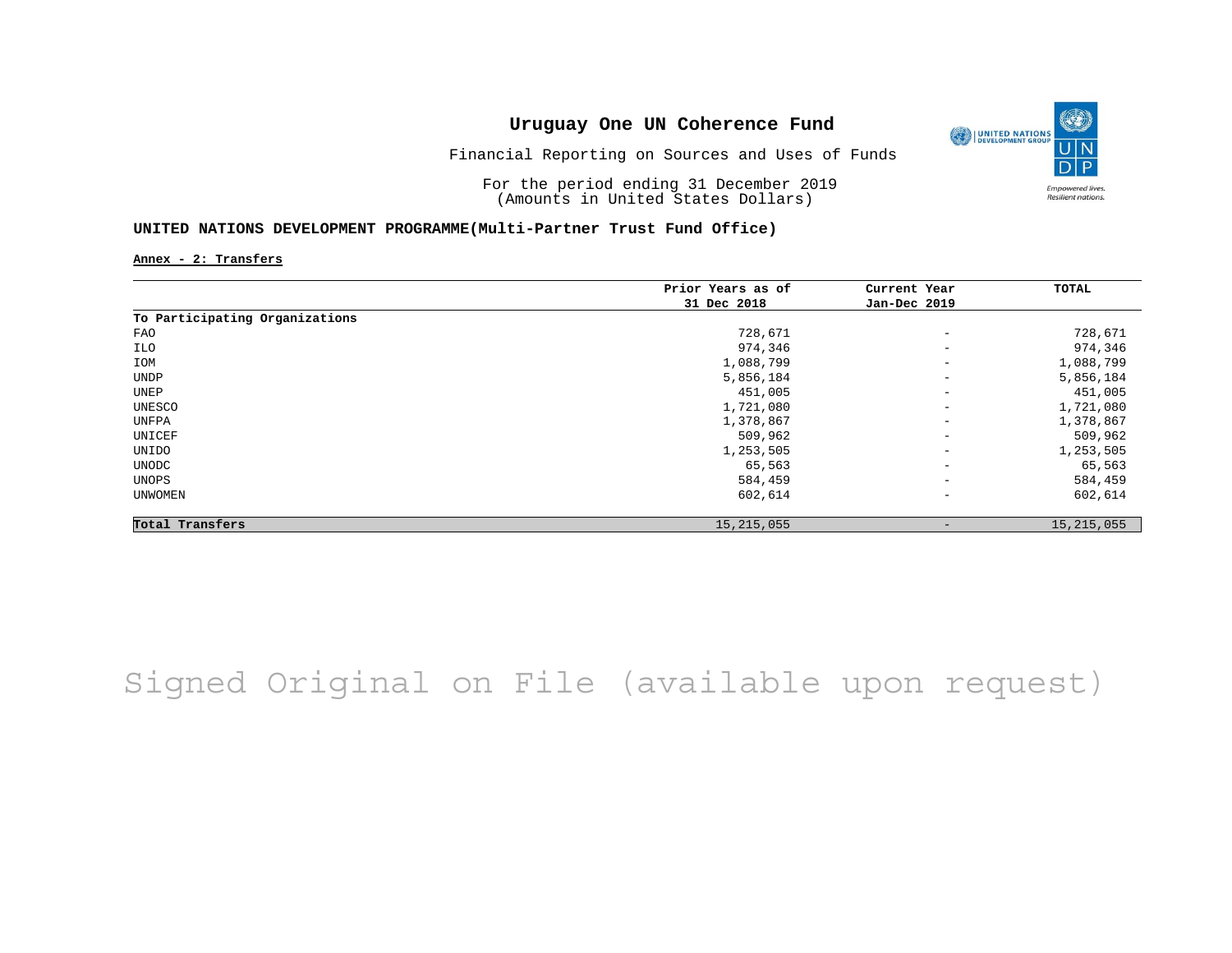

Financial Reporting on Sources and Uses of Funds

For the period ending 31 December 2019 (Amounts in United States Dollars)

#### **UNITED NATIONS DEVELOPMENT PROGRAMME(Multi-Partner Trust Fund Office)**

**Annex - 2: Transfers**

|                                | Prior Years as of | Current Year             | TOTAL        |
|--------------------------------|-------------------|--------------------------|--------------|
|                                | 31 Dec 2018       | Jan-Dec 2019             |              |
| To Participating Organizations |                   |                          |              |
| FAO                            | 728,671           | $\overline{\phantom{a}}$ | 728,671      |
| ILO                            | 974,346           | $\overline{\phantom{a}}$ | 974,346      |
| IOM                            | 1,088,799         | $\overline{\phantom{m}}$ | 1,088,799    |
| UNDP                           | 5,856,184         | $\overline{\phantom{m}}$ | 5,856,184    |
| UNEP                           | 451,005           | $\overline{\phantom{m}}$ | 451,005      |
| UNESCO                         | 1,721,080         | $\qquad \qquad -$        | 1,721,080    |
| UNFPA                          | 1,378,867         | $\qquad \qquad -$        | 1,378,867    |
| UNICEF                         | 509,962           | $\qquad \qquad -$        | 509,962      |
| UNIDO                          | 1,253,505         | $\qquad \qquad -$        | 1,253,505    |
| UNODC                          | 65,563            | $\overline{\phantom{a}}$ | 65,563       |
| UNOPS                          | 584,459           | $\qquad \qquad -$        | 584,459      |
| <b>UNWOMEN</b>                 | 602,614           | $\qquad \qquad -$        | 602,614      |
| Total Transfers                | 15, 215, 055      | $\overline{\phantom{a}}$ | 15, 215, 055 |

Signed Original on File (available upon request)